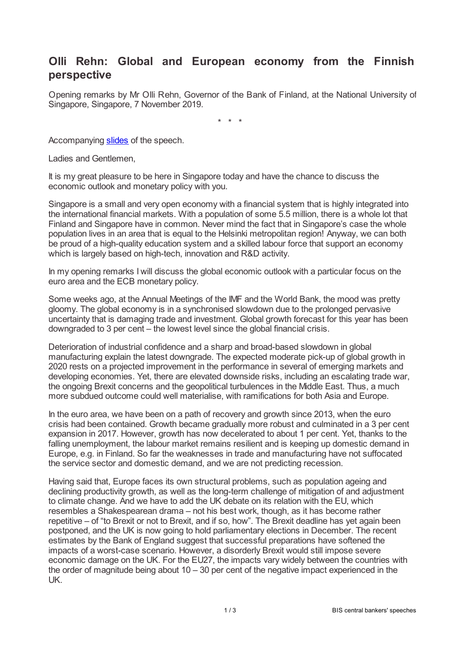# **Olli Rehn: Global and European economy from the Finnish perspective**

Opening remarks by Mr Olli Rehn, Governor of the Bank of Finland, at the National University of Singapore, Singapore, 7 November 2019.

\* \* \*

Accompanying [slides](www.bis.org/review/r191107f_slides.pdf) of the speech.

Ladies and Gentlemen,

It is my great pleasure to be here in Singapore today and have the chance to discuss the economic outlook and monetary policy with you.

Singapore is a small and very open economy with a financial system that is highly integrated into the international financial markets. With a population of some 5.5 million, there is a whole lot that Finland and Singapore have in common. Never mind the fact that in Singapore's case the whole population lives in an area that is equal to the Helsinki metropolitan region! Anyway, we can both be proud of a high-quality education system and a skilled labour force that support an economy which is largely based on high-tech, innovation and R&D activity.

In my opening remarks I will discuss the global economic outlook with a particular focus on the euro area and the ECB monetary policy.

Some weeks ago, at the Annual Meetings of the IMF and the World Bank, the mood was pretty gloomy. The global economy is in a synchronised slowdown due to the prolonged pervasive uncertainty that is damaging trade and investment. Global growth forecast for this year has been downgraded to 3 per cent – the lowest level since the global financial crisis.

Deterioration of industrial confidence and a sharp and broad-based slowdown in global manufacturing explain the latest downgrade. The expected moderate pick-up of global growth in 2020 rests on a projected improvement in the performance in several of emerging markets and developing economies. Yet, there are elevated downside risks, including an escalating trade war, the ongoing Brexit concerns and the geopolitical turbulences in the Middle East. Thus, a much more subdued outcome could well materialise, with ramifications for both Asia and Europe.

In the euro area, we have been on a path of recovery and growth since 2013, when the euro crisis had been contained. Growth became gradually more robust and culminated in a 3 per cent expansion in 2017. However, growth has now decelerated to about 1 per cent. Yet, thanks to the falling unemployment, the labour market remains resilient and is keeping up domestic demand in Europe, e.g. in Finland. So far the weaknesses in trade and manufacturing have not suffocated the service sector and domestic demand, and we are not predicting recession.

Having said that, Europe faces its own structural problems, such as population ageing and declining productivity growth, as well as the long-term challenge of mitigation of and adjustment to climate change. And we have to add the UK debate on its relation with the EU, which resembles a Shakespearean drama – not his best work, though, as it has become rather repetitive – of "to Brexit or not to Brexit, and if so, how". The Brexit deadline has yet again been postponed, and the UK is now going to hold parliamentary elections in December. The recent estimates by the Bank of England suggest that successful preparations have softened the impacts of a worst-case scenario. However, a disorderly Brexit would still impose severe economic damage on the UK. For the EU27, the impacts vary widely between the countries with the order of magnitude being about  $10 - 30$  per cent of the negative impact experienced in the UK.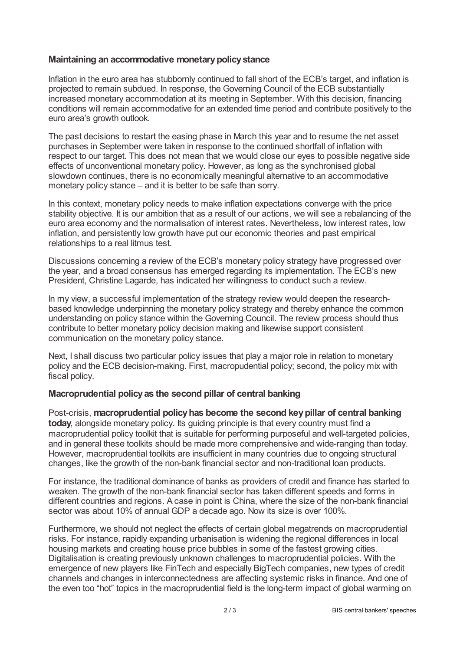## **Maintaining an accommodative monetarypolicystance**

Inflation in the euro area has stubbornly continued to fall short of the ECB's target, and inflation is projected to remain subdued. In response, the Governing Council of the ECB substantially increased monetary accommodation at its meeting in September. With this decision, financing conditions will remain accommodative for an extended time period and contribute positively to the euro area's growth outlook.

The past decisions to restart the easing phase in March this year and to resume the net asset purchases in September were taken in response to the continued shortfall of inflation with respect to our target. This does not mean that we would close our eyes to possible negative side effects of unconventional monetary policy. However, as long as the synchronised global slowdown continues, there is no economically meaningful alternative to an accommodative monetary policy stance – and it is better to be safe than sorry.

In this context, monetary policy needs to make inflation expectations converge with the price stability objective. It is our ambition that as a result of our actions, we will see a rebalancing of the euro area economy and the normalisation of interest rates. Nevertheless, low interest rates, low inflation, and persistently low growth have put our economic theories and past empirical relationships to a real litmus test.

Discussions concerning a review of the ECB's monetary policy strategy have progressed over the year, and a broad consensus has emerged regarding its implementation. The ECB's new President, Christine Lagarde, has indicated her willingness to conduct such a review.

In my view, a successful implementation of the strategy review would deepen the researchbased knowledge underpinning the monetary policy strategy and thereby enhance the common understanding on policy stance within the Governing Council. The review process should thus contribute to better monetary policy decision making and likewise support consistent communication on the monetary policy stance.

Next, I shall discuss two particular policy issues that play a major role in relation to monetary policy and the ECB decision-making. First, macropudential policy; second, the policy mix with fiscal policy.

#### **Macroprudential policyas the second pillar of central banking**

Post-crisis, **macroprudential policyhas become the second keypillar of central banking today**, alongside monetary policy. Its guiding principle is that every country must find a macroprudential policy toolkit that is suitable for performing purposeful and well-targeted policies, and in general these toolkits should be made more comprehensive and wide-ranging than today. However, macroprudential toolkits are insufficient in many countries due to ongoing structural changes, like the growth of the non-bank financial sector and non-traditional loan products.

For instance, the traditional dominance of banks as providers of credit and finance has started to weaken. The growth of the non-bank financial sector has taken different speeds and forms in different countries and regions. A case in point is China, where the size of the non-bank financial sector was about 10% of annual GDP a decade ago. Now its size is over 100%.

Furthermore, we should not neglect the effects of certain global megatrends on macroprudential risks. For instance, rapidly expanding urbanisation is widening the regional differences in local housing markets and creating house price bubbles in some of the fastest growing cities. Digitalisation is creating previously unknown challenges to macroprudential policies. With the emergence of new players like FinTech and especially BigTech companies, new types of credit channels and changes in interconnectedness are affecting systemic risks in finance. And one of the even too "hot" topics in the macroprudential field is the long-term impact of global warming on